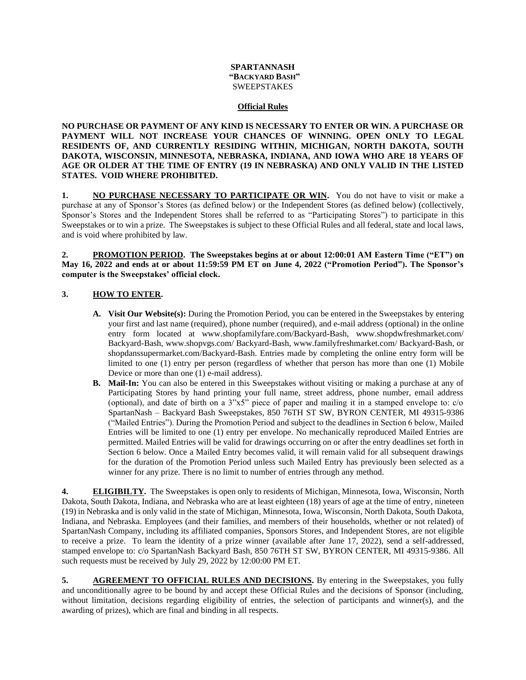## **SPARTANNASH "BACKYARD BASH" SWEEPSTAKES**

## **Official Rules**

**NO PURCHASE OR PAYMENT OF ANY KIND IS NECESSARY TO ENTER OR WIN. A PURCHASE OR PAYMENT WILL NOT INCREASE YOUR CHANCES OF WINNING. OPEN ONLY TO LEGAL RESIDENTS OF, AND CURRENTLY RESIDING WITHIN, MICHIGAN, NORTH DAKOTA, SOUTH DAKOTA, WISCONSIN, MINNESOTA, NEBRASKA, INDIANA, AND IOWA WHO ARE 18 YEARS OF AGE OR OLDER AT THE TIME OF ENTRY (19 IN NEBRASKA) AND ONLY VALID IN THE LISTED STATES. VOID WHERE PROHIBITED.** 

**1. NO PURCHASE NECESSARY TO PARTICIPATE OR WIN.** You do not have to visit or make a purchase at any of Sponsor's Stores (as defined below) or the Independent Stores (as defined below) (collectively, Sponsor's Stores and the Independent Stores shall be referred to as "Participating Stores") to participate in this Sweepstakes or to win a prize. The Sweepstakes is subject to these Official Rules and all federal, state and local laws, and is void where prohibited by law.

**2. PROMOTION PERIOD. The Sweepstakes begins at or about 12:00:01 AM Eastern Time ("ET") on May 16, 2022 and ends at or about 11:59:59 PM ET on June 4, 2022 ("Promotion Period"). The Sponsor's computer is the Sweepstakes' official clock.**

## **3. HOW TO ENTER.**

- **A. Visit Our Website(s):** During the Promotion Period, you can be entered in the Sweepstakes by entering your first and last name (required), phone number (required), and e-mail address (optional) in the online entry form located at [www.shopfamilyfare.com/B](http://www.shopfamilyfare.com/)ackyard-Bash, www.shopdwfreshmarket.com/ Backyard-Bash, www.shopvgs.com/ Backyard-Bash, [www.familyfreshmarket.com/](http://www.familyfreshmarket.com/) Backyard-Bash, or shopdanssupermarket.com/Backyard-Bash. Entries made by completing the online entry form will be limited to one (1) entry per person (regardless of whether that person has more than one (1) Mobile Device or more than one (1) e-mail address).
- **B. Mail-In:** You can also be entered in this Sweepstakes without visiting or making a purchase at any of Participating Stores by hand printing your full name, street address, phone number, email address (optional), and date of birth on a 3"x5" piece of paper and mailing it in a stamped envelope to: c/o SpartanNash – Backyard Bash Sweepstakes, 850 76TH ST SW, BYRON CENTER, MI 49315-9386 ("Mailed Entries"). During the Promotion Period and subject to the deadlines in Section 6 below, Mailed Entries will be limited to one (1) entry per envelope. No mechanically reproduced Mailed Entries are permitted. Mailed Entries will be valid for drawings occurring on or after the entry deadlines set forth in Section 6 below. Once a Mailed Entry becomes valid, it will remain valid for all subsequent drawings for the duration of the Promotion Period unless such Mailed Entry has previously been selected as a winner for any prize. There is no limit to number of entries through any method.

**4. ELIGIBILTY.** The Sweepstakes is open only to residents of Michigan, Minnesota, Iowa, Wisconsin, North Dakota, South Dakota, Indiana, and Nebraska who are at least eighteen (18) years of age at the time of entry, nineteen (19) in Nebraska and is only valid in the state of Michigan, Minnesota, Iowa, Wisconsin, North Dakota, South Dakota, Indiana, and Nebraska. Employees (and their families, and members of their households, whether or not related) of SpartanNash Company, including its affiliated companies, Sponsors Stores, and Independent Stores, are not eligible to receive a prize. To learn the identity of a prize winner (available after June 17, 2022), send a self-addressed, stamped envelope to: c/o SpartanNash Backyard Bash, 850 76TH ST SW, BYRON CENTER, MI 49315-9386. All such requests must be received by July 29, 2022 by 12:00:00 PM ET.

**5. AGREEMENT TO OFFICIAL RULES AND DECISIONS.** By entering in the Sweepstakes, you fully and unconditionally agree to be bound by and accept these Official Rules and the decisions of Sponsor (including, without limitation, decisions regarding eligibility of entries, the selection of participants and winner(s), and the awarding of prizes), which are final and binding in all respects.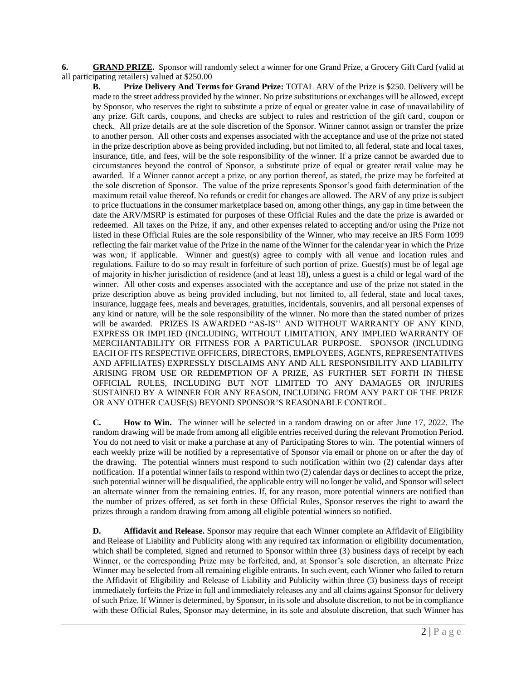**6. GRAND PRIZE.** Sponsor will randomly select a winner for one Grand Prize, a Grocery Gift Card (valid at all participating retailers) valued at \$250.00

**B. Prize Delivery And Terms for Grand Prize:** TOTAL ARV of the Prize is \$250. Delivery will be made to the street address provided by the winner. No prize substitutions or exchanges will be allowed, except by Sponsor, who reserves the right to substitute a prize of equal or greater value in case of unavailability of any prize. Gift cards, coupons, and checks are subject to rules and restriction of the gift card, coupon or check. All prize details are at the sole discretion of the Sponsor. Winner cannot assign or transfer the prize to another person. All other costs and expenses associated with the acceptance and use of the prize not stated in the prize description above as being provided including, but not limited to, all federal, state and local taxes, insurance, title, and fees, will be the sole responsibility of the winner. If a prize cannot be awarded due to circumstances beyond the control of Sponsor, a substitute prize of equal or greater retail value may be awarded. If a Winner cannot accept a prize, or any portion thereof, as stated, the prize may be forfeited at the sole discretion of Sponsor. The value of the prize represents Sponsor's good faith determination of the maximum retail value thereof. No refunds or credit for changes are allowed. The ARV of any prize is subject to price fluctuations in the consumer marketplace based on, among other things, any gap in time between the date the ARV/MSRP is estimated for purposes of these Official Rules and the date the prize is awarded or redeemed. All taxes on the Prize, if any, and other expenses related to accepting and/or using the Prize not listed in these Official Rules are the sole responsibility of the Winner, who may receive an IRS Form 1099 reflecting the fair market value of the Prize in the name of the Winner for the calendar year in which the Prize was won, if applicable. Winner and guest(s) agree to comply with all venue and location rules and regulations. Failure to do so may result in forfeiture of such portion of prize. Guest(s) must be of legal age of majority in his/her jurisdiction of residence (and at least 18), unless a guest is a child or legal ward of the winner. All other costs and expenses associated with the acceptance and use of the prize not stated in the prize description above as being provided including, but not limited to, all federal, state and local taxes, insurance, luggage fees, meals and beverages, gratuities, incidentals, souvenirs, and all personal expenses of any kind or nature, will be the sole responsibility of the winner. No more than the stated number of prizes will be awarded. PRIZES IS AWARDED "AS-IS'' AND WITHOUT WARRANTY OF ANY KIND, EXPRESS OR IMPLIED (INCLUDING, WITHOUT LIMITATION, ANY IMPLIED WARRANTY OF MERCHANTABILITY OR FITNESS FOR A PARTICULAR PURPOSE. SPONSOR (INCLUDING EACH OF ITS RESPECTIVE OFFICERS, DIRECTORS, EMPLOYEES, AGENTS, REPRESENTATIVES AND AFFILIATES) EXPRESSLY DISCLAIMS ANY AND ALL RESPONSIBILITY AND LIABILITY ARISING FROM USE OR REDEMPTION OF A PRIZE, AS FURTHER SET FORTH IN THESE OFFICIAL RULES, INCLUDING BUT NOT LIMITED TO ANY DAMAGES OR INJURIES SUSTAINED BY A WINNER FOR ANY REASON, INCLUDING FROM ANY PART OF THE PRIZE OR ANY OTHER CAUSE(S) BEYOND SPONSOR'S REASONABLE CONTROL.

**C. How to Win.** The winner will be selected in a random drawing on or after June 17, 2022. The random drawing will be made from among all eligible entries received during the relevant Promotion Period. You do not need to visit or make a purchase at any of Participating Stores to win. The potential winners of each weekly prize will be notified by a representative of Sponsor via email or phone on or after the day of the drawing. The potential winners must respond to such notification within two (2) calendar days after notification. If a potential winner fails to respond within two (2) calendar days or declines to accept the prize, such potential winner will be disqualified, the applicable entry will no longer be valid, and Sponsor will select an alternate winner from the remaining entries. If, for any reason, more potential winners are notified than the number of prizes offered, as set forth in these Official Rules, Sponsor reserves the right to award the prizes through a random drawing from among all eligible potential winners so notified.

**D. Affidavit and Release.** Sponsor may require that each Winner complete an Affidavit of Eligibility and Release of Liability and Publicity along with any required tax information or eligibility documentation, which shall be completed, signed and returned to Sponsor within three (3) business days of receipt by each Winner, or the corresponding Prize may be forfeited, and, at Sponsor's sole discretion, an alternate Prize Winner may be selected from all remaining eligible entrants. In such event, each Winner who failed to return the Affidavit of Eligibility and Release of Liability and Publicity within three (3) business days of receipt immediately forfeits the Prize in full and immediately releases any and all claims against Sponsor for delivery of such Prize. If Winner is determined, by Sponsor, in its sole and absolute discretion, to not be in compliance with these Official Rules, Sponsor may determine, in its sole and absolute discretion, that such Winner has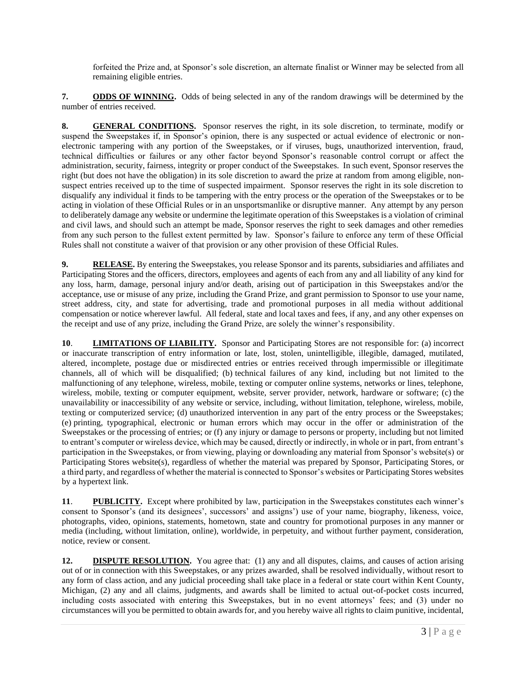forfeited the Prize and, at Sponsor's sole discretion, an alternate finalist or Winner may be selected from all remaining eligible entries.

**7. ODDS OF WINNING.** Odds of being selected in any of the random drawings will be determined by the number of entries received.

**8. GENERAL CONDITIONS.** Sponsor reserves the right, in its sole discretion, to terminate, modify or suspend the Sweepstakes if, in Sponsor's opinion, there is any suspected or actual evidence of electronic or nonelectronic tampering with any portion of the Sweepstakes, or if viruses, bugs, unauthorized intervention, fraud, technical difficulties or failures or any other factor beyond Sponsor's reasonable control corrupt or affect the administration, security, fairness, integrity or proper conduct of the Sweepstakes. In such event, Sponsor reserves the right (but does not have the obligation) in its sole discretion to award the prize at random from among eligible, nonsuspect entries received up to the time of suspected impairment. Sponsor reserves the right in its sole discretion to disqualify any individual it finds to be tampering with the entry process or the operation of the Sweepstakes or to be acting in violation of these Official Rules or in an unsportsmanlike or disruptive manner. Any attempt by any person to deliberately damage any website or undermine the legitimate operation of this Sweepstakes is a violation of criminal and civil laws, and should such an attempt be made, Sponsor reserves the right to seek damages and other remedies from any such person to the fullest extent permitted by law. Sponsor's failure to enforce any term of these Official Rules shall not constitute a waiver of that provision or any other provision of these Official Rules.

**9. RELEASE.** By entering the Sweepstakes, you release Sponsor and its parents, subsidiaries and affiliates and Participating Stores and the officers, directors, employees and agents of each from any and all liability of any kind for any loss, harm, damage, personal injury and/or death, arising out of participation in this Sweepstakes and/or the acceptance, use or misuse of any prize, including the Grand Prize, and grant permission to Sponsor to use your name, street address, city, and state for advertising, trade and promotional purposes in all media without additional compensation or notice wherever lawful. All federal, state and local taxes and fees, if any, and any other expenses on the receipt and use of any prize, including the Grand Prize, are solely the winner's responsibility.

**10**. **LIMITATIONS OF LIABILITY.** Sponsor and Participating Stores are not responsible for: (a) incorrect or inaccurate transcription of entry information or late, lost, stolen, unintelligible, illegible, damaged, mutilated, altered, incomplete, postage due or misdirected entries or entries received through impermissible or illegitimate channels, all of which will be disqualified; (b) technical failures of any kind, including but not limited to the malfunctioning of any telephone, wireless, mobile, texting or computer online systems, networks or lines, telephone, wireless, mobile, texting or computer equipment, website, server provider, network, hardware or software; (c) the unavailability or inaccessibility of any website or service, including, without limitation, telephone, wireless, mobile, texting or computerized service; (d) unauthorized intervention in any part of the entry process or the Sweepstakes; (e) printing, typographical, electronic or human errors which may occur in the offer or administration of the Sweepstakes or the processing of entries; or (f) any injury or damage to persons or property, including but not limited to entrant's computer or wireless device, which may be caused, directly or indirectly, in whole or in part, from entrant's participation in the Sweepstakes, or from viewing, playing or downloading any material from Sponsor's website(s) or Participating Stores website(s), regardless of whether the material was prepared by Sponsor, Participating Stores, or a third party, and regardless of whether the material is connected to Sponsor's websites or Participating Stores websites by a hypertext link.

**11**. **PUBLICITY.** Except where prohibited by law, participation in the Sweepstakes constitutes each winner's consent to Sponsor's (and its designees', successors' and assigns') use of your name, biography, likeness, voice, photographs, video, opinions, statements, hometown, state and country for promotional purposes in any manner or media (including, without limitation, online), worldwide, in perpetuity, and without further payment, consideration, notice, review or consent.

**12. DISPUTE RESOLUTION.** You agree that: (1) any and all disputes, claims, and causes of action arising out of or in connection with this Sweepstakes, or any prizes awarded, shall be resolved individually, without resort to any form of class action, and any judicial proceeding shall take place in a federal or state court within Kent County, Michigan, (2) any and all claims, judgments, and awards shall be limited to actual out-of-pocket costs incurred, including costs associated with entering this Sweepstakes, but in no event attorneys' fees; and (3) under no circumstances will you be permitted to obtain awards for, and you hereby waive all rights to claim punitive, incidental,